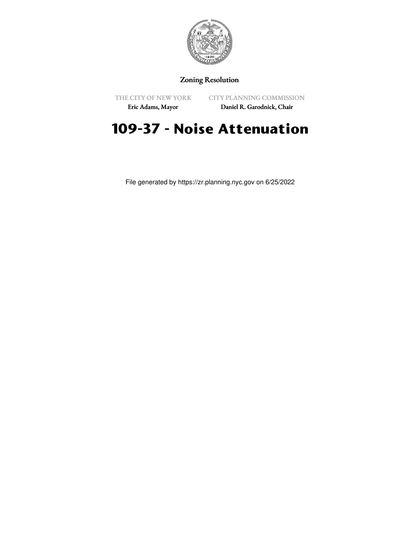

## Zoning Resolution

THE CITY OF NEW YORK

CITY PLANNING COMMISSION

Eric Adams, Mayor

Daniel R. Garodnick, Chair

## **109-37 - Noise Attenuation**

File generated by https://zr.planning.nyc.gov on 6/25/2022